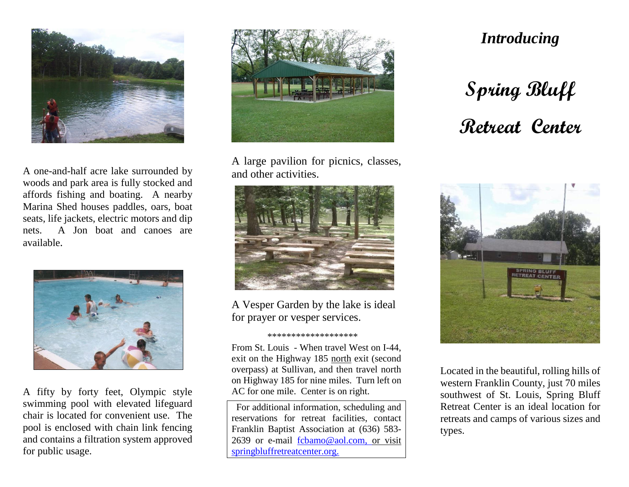

A one-and-half acre lake surrounded by woods and park area is fully stocked and affords fishing and boating. A nearby Marina Shed houses paddles, oars, boat seats, life jackets, electric motors and dip nets. A Jon boat and canoes are available.



A fifty by forty feet, Olympic style swimming pool with elevated lifeguard chair is located for convenient use. The pool is enclosed with chain link fencing and contains a filtration system approved for public usage.



A large pavilion for picnics, classes, and other activities.



A Vesper Garden by the lake is ideal for prayer or vesper services.

## \*\*\*\*\*\*\*\*\*\*\*\*\*\*\*\*\*\*\*

From St. Louis - When travel West on I-44, exit on the Highway 185 north exit (second overpass) at Sullivan, and then travel north on Highway 185 for nine miles. Turn left on AC for one mile. Center is on right.

 For additional information, scheduling and reservations for retreat facilities, contact Franklin Baptist Association at (636) 583- 2639 or e-mail [fcbamo@aol.com,](mailto:fcbamo@aol.com) or visit springbluffretreatcenter.org.

## *Introducing*

## **Spring Bluff Retreat Center**



Located in the beautiful, rolling hills of western Franklin County, just 70 miles southwest of St. Louis, Spring Bluff Retreat Center is an ideal location for retreats and camps of various sizes and types.